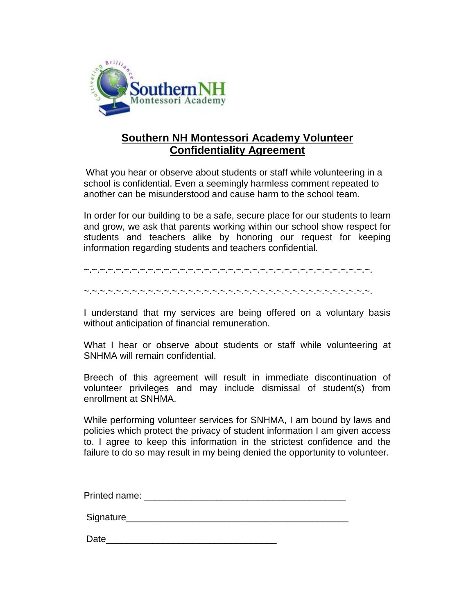

# **Southern NH Montessori Academy Volunteer Confidentiality Agreement**

What you hear or observe about students or staff while volunteering in a school is confidential. Even a seemingly harmless comment repeated to another can be misunderstood and cause harm to the school team.

In order for our building to be a safe, secure place for our students to learn and grow, we ask that parents working within our school show respect for students and teachers alike by honoring our request for keeping information regarding students and teachers confidential.

~.~.~.~.~.~.~.~.~.~.~.~.~.~.~.~.~.~.~.~.~.~.~.~.~.~.~.~.~.~.~.~.~.~.~.~.

~.~.~.~.~.~.~.~.~.~.~.~.~.~.~.~.~.~.~.~.~.~.~.~.~.~.~.~.~.~.~.~.~.~.~.~.

I understand that my services are being offered on a voluntary basis without anticipation of financial remuneration.

What I hear or observe about students or staff while volunteering at SNHMA will remain confidential.

Breech of this agreement will result in immediate discontinuation of volunteer privileges and may include dismissal of student(s) from enrollment at SNHMA.

While performing volunteer services for SNHMA, I am bound by laws and policies which protect the privacy of student information I am given access to. I agree to keep this information in the strictest confidence and the failure to do so may result in my being denied the opportunity to volunteer.

Printed name: \_\_\_\_\_\_\_\_\_\_\_\_\_\_\_\_\_\_\_\_\_\_\_\_\_\_\_\_\_\_\_\_\_\_\_\_\_\_\_

Signature\_\_\_\_\_\_\_\_\_\_\_\_\_\_\_\_\_\_\_\_\_\_\_\_\_\_\_\_\_\_\_\_\_\_\_\_\_\_\_\_\_\_\_

Date\_\_\_\_\_\_\_\_\_\_\_\_\_\_\_\_\_\_\_\_\_\_\_\_\_\_\_\_\_\_\_\_\_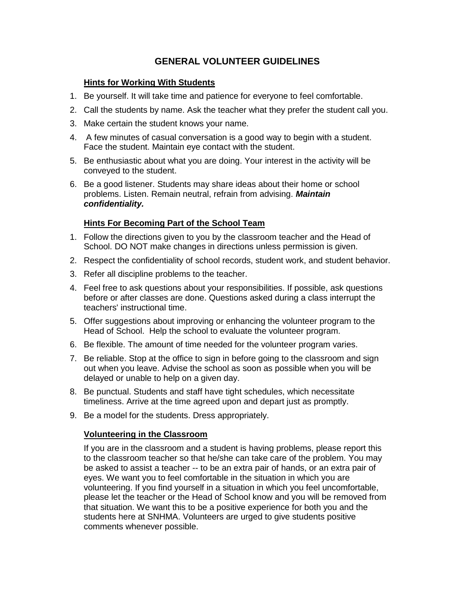# **GENERAL VOLUNTEER GUIDELINES**

#### **Hints for Working With Students**

- 1. Be yourself. It will take time and patience for everyone to feel comfortable.
- 2. Call the students by name. Ask the teacher what they prefer the student call you.
- 3. Make certain the student knows your name.
- 4. A few minutes of casual conversation is a good way to begin with a student. Face the student. Maintain eye contact with the student.
- 5. Be enthusiastic about what you are doing. Your interest in the activity will be conveyed to the student.
- 6. Be a good listener. Students may share ideas about their home or school problems. Listen. Remain neutral, refrain from advising. *Maintain confidentiality.*

## **Hints For Becoming Part of the School Team**

- 1. Follow the directions given to you by the classroom teacher and the Head of School. DO NOT make changes in directions unless permission is given.
- 2. Respect the confidentiality of school records, student work, and student behavior.
- 3. Refer all discipline problems to the teacher.
- 4. Feel free to ask questions about your responsibilities. If possible, ask questions before or after classes are done. Questions asked during a class interrupt the teachers' instructional time.
- 5. Offer suggestions about improving or enhancing the volunteer program to the Head of School. Help the school to evaluate the volunteer program.
- 6. Be flexible. The amount of time needed for the volunteer program varies.
- 7. Be reliable. Stop at the office to sign in before going to the classroom and sign out when you leave. Advise the school as soon as possible when you will be delayed or unable to help on a given day.
- 8. Be punctual. Students and staff have tight schedules, which necessitate timeliness. Arrive at the time agreed upon and depart just as promptly.
- 9. Be a model for the students. Dress appropriately.

#### **Volunteering in the Classroom**

If you are in the classroom and a student is having problems, please report this to the classroom teacher so that he/she can take care of the problem. You may be asked to assist a teacher -- to be an extra pair of hands, or an extra pair of eyes. We want you to feel comfortable in the situation in which you are volunteering. If you find yourself in a situation in which you feel uncomfortable, please let the teacher or the Head of School know and you will be removed from that situation. We want this to be a positive experience for both you and the students here at SNHMA. Volunteers are urged to give students positive comments whenever possible.